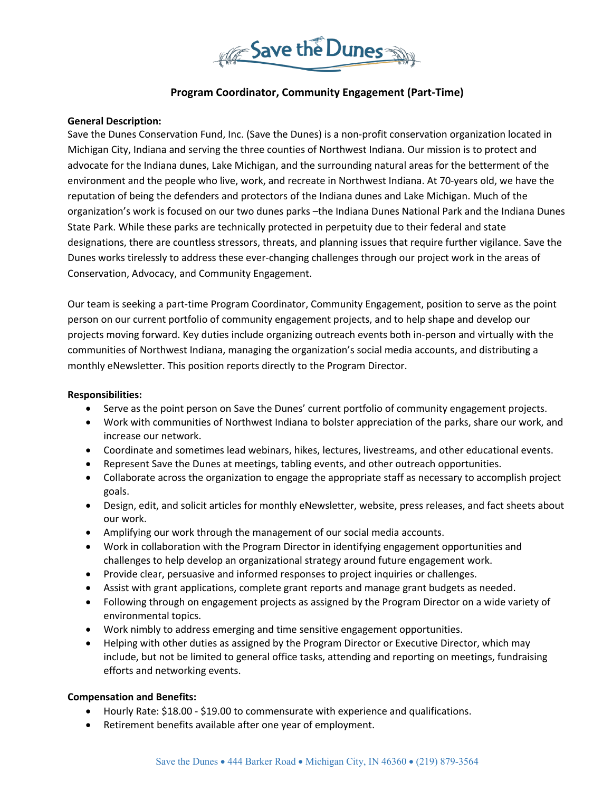

# **Program Coordinator, Community Engagement (Part-Time)**

#### **General Description:**

Save the Dunes Conservation Fund, Inc. (Save the Dunes) is a non-profit conservation organization located in Michigan City, Indiana and serving the three counties of Northwest Indiana. Our mission is to protect and advocate for the Indiana dunes, Lake Michigan, and the surrounding natural areas for the betterment of the environment and the people who live, work, and recreate in Northwest Indiana. At 70-years old, we have the reputation of being the defenders and protectors of the Indiana dunes and Lake Michigan. Much of the organization's work is focused on our two dunes parks –the Indiana Dunes National Park and the Indiana Dunes State Park. While these parks are technically protected in perpetuity due to their federal and state designations, there are countless stressors, threats, and planning issues that require further vigilance. Save the Dunes works tirelessly to address these ever-changing challenges through our project work in the areas of Conservation, Advocacy, and Community Engagement.

Our team is seeking a part-time Program Coordinator, Community Engagement, position to serve as the point person on our current portfolio of community engagement projects, and to help shape and develop our projects moving forward. Key duties include organizing outreach events both in-person and virtually with the communities of Northwest Indiana, managing the organization's social media accounts, and distributing a monthly eNewsletter. This position reports directly to the Program Director.

#### **Responsibilities:**

- Serve as the point person on Save the Dunes' current portfolio of community engagement projects.
- Work with communities of Northwest Indiana to bolster appreciation of the parks, share our work, and increase our network.
- Coordinate and sometimes lead webinars, hikes, lectures, livestreams, and other educational events.
- Represent Save the Dunes at meetings, tabling events, and other outreach opportunities.
- Collaborate across the organization to engage the appropriate staff as necessary to accomplish project goals.
- Design, edit, and solicit articles for monthly eNewsletter, website, press releases, and fact sheets about our work.
- Amplifying our work through the management of our social media accounts.
- Work in collaboration with the Program Director in identifying engagement opportunities and challenges to help develop an organizational strategy around future engagement work.
- Provide clear, persuasive and informed responses to project inquiries or challenges.
- Assist with grant applications, complete grant reports and manage grant budgets as needed.
- Following through on engagement projects as assigned by the Program Director on a wide variety of environmental topics.
- Work nimbly to address emerging and time sensitive engagement opportunities.
- Helping with other duties as assigned by the Program Director or Executive Director, which may include, but not be limited to general office tasks, attending and reporting on meetings, fundraising efforts and networking events.

## **Compensation and Benefits:**

- Hourly Rate: \$18.00 \$19.00 to commensurate with experience and qualifications.
- Retirement benefits available after one year of employment.